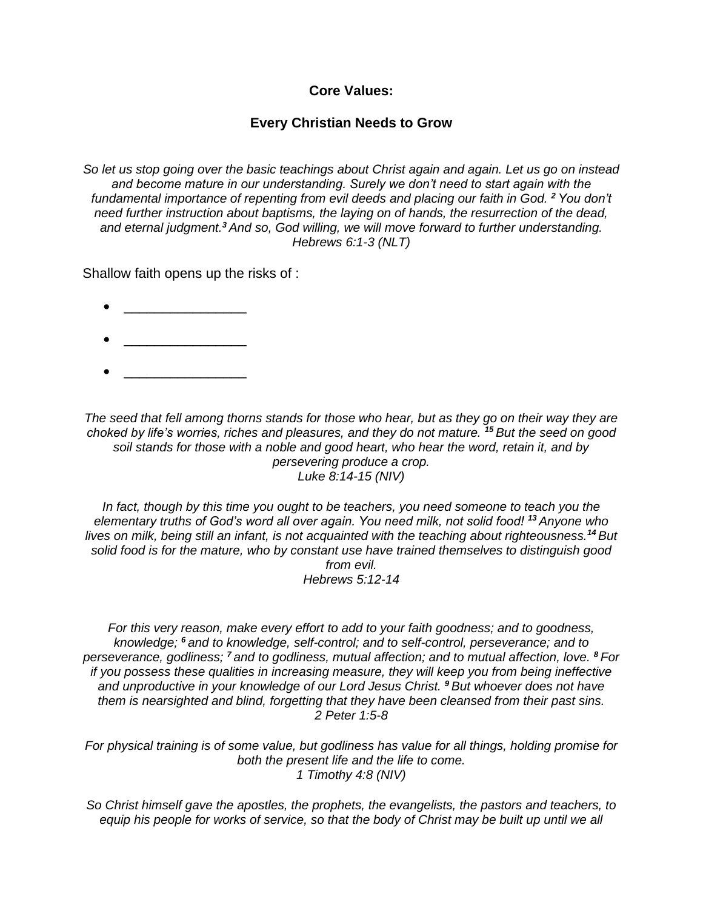**Core Values:**

## **Every Christian Needs to Grow**

*So let us stop going over the basic teachings about Christ again and again. Let us go on instead and become mature in our understanding. Surely we don't need to start again with the fundamental importance of repenting from evil deeds and placing our faith in God. <sup>2</sup> You don't need further instruction about baptisms, the laying on of hands, the resurrection of the dead, and eternal judgment.<sup>3</sup> And so, God willing, we will move forward to further understanding. Hebrews 6:1-3 (NLT)*

Shallow faith opens up the risks of :

- \_\_\_\_\_\_\_\_\_\_\_\_\_\_\_\_
- 
- $\bullet$   $\qquad \qquad$

*The seed that fell among thorns stands for those who hear, but as they go on their way they are choked by life's worries, riches and pleasures, and they do not mature. <sup>15</sup> But the seed on good soil stands for those with a noble and good heart, who hear the word, retain it, and by persevering produce a crop. Luke 8:14-15 (NIV)*

In fact, though by this time you ought to be teachers, you need someone to teach you the *elementary truths of God's word all over again. You need milk, not solid food! <sup>13</sup> Anyone who lives on milk, being still an infant, is not acquainted with the teaching about righteousness.<sup>14</sup> But solid food is for the mature, who by constant use have trained themselves to distinguish good from evil. Hebrews 5:12-14*

*For this very reason, make every effort to add to your faith goodness; and to goodness, knowledge; <sup>6</sup> and to knowledge, self-control; and to self-control, perseverance; and to perseverance, godliness; <sup>7</sup> and to godliness, mutual affection; and to mutual affection, love. <sup>8</sup> For if you possess these qualities in increasing measure, they will keep you from being ineffective and unproductive in your knowledge of our Lord Jesus Christ. <sup>9</sup> But whoever does not have them is nearsighted and blind, forgetting that they have been cleansed from their past sins. 2 Peter 1:5-8*

*For physical training is of some value, but godliness has value for all things, holding promise for both the present life and the life to come. 1 Timothy 4:8 (NIV)*

*So Christ himself gave the apostles, the prophets, the evangelists, the pastors and teachers, to equip his people for works of service, so that the body of Christ may be built up until we all*